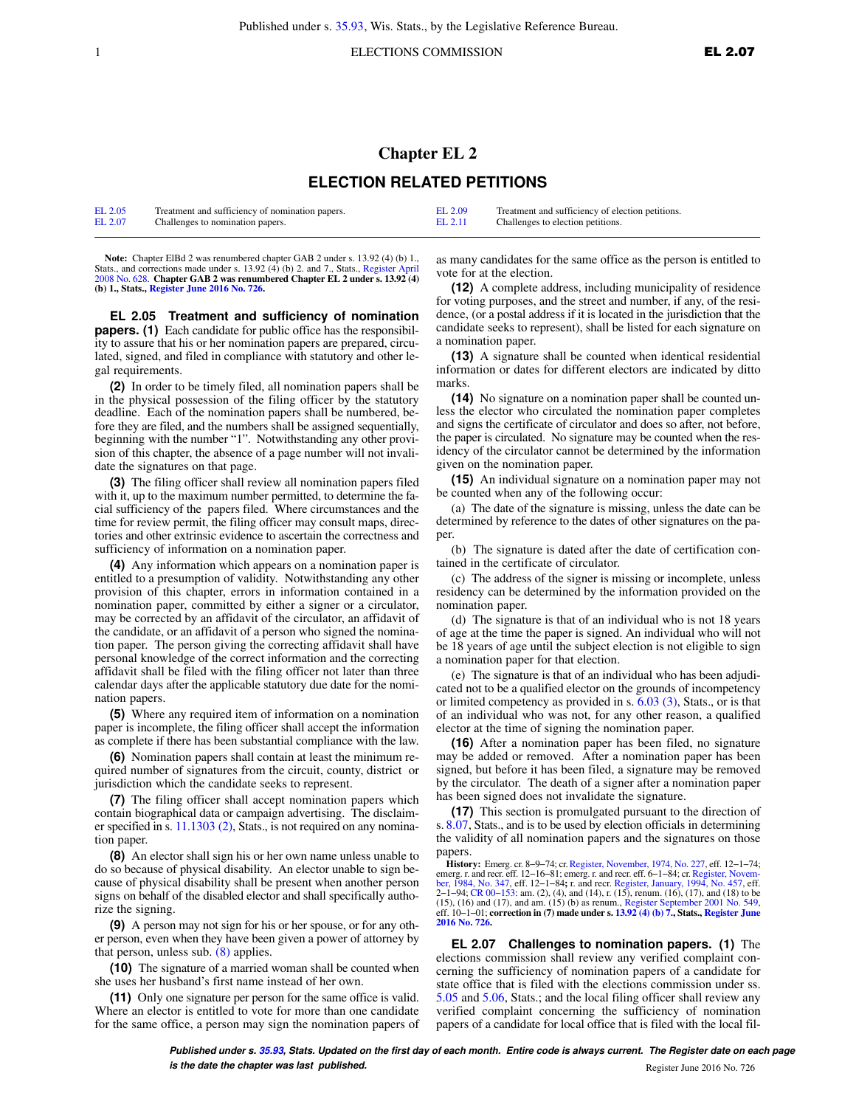## **Chapter EL 2 ELECTION RELATED PETITIONS**

| EL 2.05 | Treatment and sufficiency of nomination papers. | EL 2.09 | Treatment and sufficiency of election petitions. |
|---------|-------------------------------------------------|---------|--------------------------------------------------|
| EL 2.07 | Challenges to nomination papers.                | EL 2.11 | Challenges to election petitions.                |

Note: Chapter ElBd 2 was renumbered chapter GAB 2 under s. 13.92 (4) (b) 1., Stats., and corrections made under s. 13.92 (4) (b) 2. and 7., Stats., [Register April](https://docs.legis.wisconsin.gov/document/register/628/B/toc) [2008 No. 628](https://docs.legis.wisconsin.gov/document/register/628/B/toc). **Chapter GAB 2 was renumbered Chapter EL 2 under s. 13.92 (4) (b) 1., Stats., [Register June 2016 No. 726.](https://docs.legis.wisconsin.gov/document/register/726/B/toc)**

**EL 2.05 Treatment and sufficiency of nomination papers. (1)** Each candidate for public office has the responsibility to assure that his or her nomination papers are prepared, circulated, signed, and filed in compliance with statutory and other legal requirements.

**(2)** In order to be timely filed, all nomination papers shall be in the physical possession of the filing officer by the statutory deadline. Each of the nomination papers shall be numbered, before they are filed, and the numbers shall be assigned sequentially, beginning with the number "1". Notwithstanding any other provision of this chapter, the absence of a page number will not invalidate the signatures on that page.

**(3)** The filing officer shall review all nomination papers filed with it, up to the maximum number permitted, to determine the facial sufficiency of the papers filed. Where circumstances and the time for review permit, the filing officer may consult maps, directories and other extrinsic evidence to ascertain the correctness and sufficiency of information on a nomination paper.

**(4)** Any information which appears on a nomination paper is entitled to a presumption of validity. Notwithstanding any other provision of this chapter, errors in information contained in a nomination paper, committed by either a signer or a circulator, may be corrected by an affidavit of the circulator, an affidavit of the candidate, or an affidavit of a person who signed the nomination paper. The person giving the correcting affidavit shall have personal knowledge of the correct information and the correcting affidavit shall be filed with the filing officer not later than three calendar days after the applicable statutory due date for the nomination papers.

**(5)** Where any required item of information on a nomination paper is incomplete, the filing officer shall accept the information as complete if there has been substantial compliance with the law.

**(6)** Nomination papers shall contain at least the minimum required number of signatures from the circuit, county, district or jurisdiction which the candidate seeks to represent.

**(7)** The filing officer shall accept nomination papers which contain biographical data or campaign advertising. The disclaimer specified in s. [11.1303 \(2\)](https://docs.legis.wisconsin.gov/document/statutes/11.1303(2)), Stats., is not required on any nomination paper.

**(8)** An elector shall sign his or her own name unless unable to do so because of physical disability. An elector unable to sign because of physical disability shall be present when another person signs on behalf of the disabled elector and shall specifically authorize the signing.

**(9)** A person may not sign for his or her spouse, or for any other person, even when they have been given a power of attorney by that person, unless sub. [\(8\)](https://docs.legis.wisconsin.gov/document/administrativecode/EL%202.05(8)) applies.

**(10)** The signature of a married woman shall be counted when she uses her husband's first name instead of her own.

**(11)** Only one signature per person for the same office is valid. Where an elector is entitled to vote for more than one candidate for the same office, a person may sign the nomination papers of as many candidates for the same office as the person is entitled to vote for at the election.

**(12)** A complete address, including municipality of residence for voting purposes, and the street and number, if any, of the residence, (or a postal address if it is located in the jurisdiction that the candidate seeks to represent), shall be listed for each signature on a nomination paper.

**(13)** A signature shall be counted when identical residential information or dates for different electors are indicated by ditto marks.

**(14)** No signature on a nomination paper shall be counted unless the elector who circulated the nomination paper completes and signs the certificate of circulator and does so after, not before, the paper is circulated. No signature may be counted when the residency of the circulator cannot be determined by the information given on the nomination paper.

**(15)** An individual signature on a nomination paper may not be counted when any of the following occur:

(a) The date of the signature is missing, unless the date can be determined by reference to the dates of other signatures on the paper.

(b) The signature is dated after the date of certification contained in the certificate of circulator.

(c) The address of the signer is missing or incomplete, unless residency can be determined by the information provided on the nomination paper.

(d) The signature is that of an individual who is not 18 years of age at the time the paper is signed. An individual who will not be 18 years of age until the subject election is not eligible to sign a nomination paper for that election.

(e) The signature is that of an individual who has been adjudicated not to be a qualified elector on the grounds of incompetency or limited competency as provided in s. [6.03 \(3\),](https://docs.legis.wisconsin.gov/document/statutes/6.03(3)) Stats., or is that of an individual who was not, for any other reason, a qualified elector at the time of signing the nomination paper.

**(16)** After a nomination paper has been filed, no signature may be added or removed. After a nomination paper has been signed, but before it has been filed, a signature may be removed by the circulator. The death of a signer after a nomination paper has been signed does not invalidate the signature.

**(17)** This section is promulgated pursuant to the direction of s. [8.07](https://docs.legis.wisconsin.gov/document/statutes/8.07), Stats., and is to be used by election officials in determining the validity of all nomination papers and the signatures on those papers.

**History:** Emerg. cr. 8−9−74; cr. [Register, November, 1974, No. 227](https://docs.legis.wisconsin.gov/document/register/227/B/toc), eff. 12−1−74; emerg. r. and recr. eff. 12–16–81; emerg. r. and recr. eff. 6–1–84; cr. Register, Novem-<br>[ber, 1984, No. 347,](https://docs.legis.wisconsin.gov/document/register/347/B/toc) eff. 12–1–84; r. and recr. [Register, January, 1994, No. 457](https://docs.legis.wisconsin.gov/document/register/457/B/toc), eff.<br>2–1–94; CR 00–153: am. (2), (4), and (14), r. ( (15), (16) and (17), and am. (15) (b) as renum., [Register September 2001 No. 549](https://docs.legis.wisconsin.gov/document/register/549/B/toc), eff. 10−1−01; **correction in (7) made under s. [13.92 \(4\) \(b\) 7.,](https://docs.legis.wisconsin.gov/document/statutes/13.92(4)(b)7.) Stats., [Register June](https://docs.legis.wisconsin.gov/document/register/726/B/toc) [2016 No. 726.](https://docs.legis.wisconsin.gov/document/register/726/B/toc)**

**EL 2.07 Challenges to nomination papers. (1)** The elections commission shall review any verified complaint concerning the sufficiency of nomination papers of a candidate for state office that is filed with the elections commission under ss. [5.05](https://docs.legis.wisconsin.gov/document/statutes/5.05) and [5.06](https://docs.legis.wisconsin.gov/document/statutes/5.06), Stats.; and the local filing officer shall review any verified complaint concerning the sufficiency of nomination papers of a candidate for local office that is filed with the local fil-

**Published under s. [35.93,](https://docs.legis.wisconsin.gov/document/statutes/35.93) Stats. Updated on the first day of each month. Entire code is always current. The Register date on each page is the date the chapter was last published. Compared 10 and 2016 No. 726** Register June 2016 No. 726